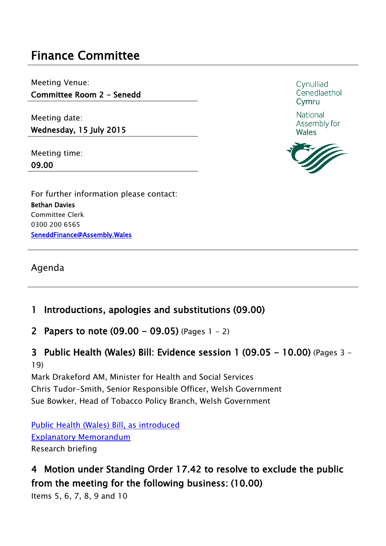# **Finance Committee**

Meeting Venue:

**Committee Room 2 - Senedd**

Meeting date: **Wednesday, 15 July 2015** 

Meeting time: **09.00**

For further information please contact: **Bethan Davies** Committee Clerk 0300 200 6565 **SeneddFinance@Assembly.Wales** 

Agenda

## **1 Introductions, apologies and substitutions (09.00)**

**2 Papers to note (09.00 - 09.05)** (Pages 1 - 2)

**3 Public Health (Wales) Bill: Evidence session 1 (09.05 - 10.00)** (Pages 3 - 19)

Mark Drakeford AM, Minister for Health and Social Services Chris Tudor-Smith, Senior Responsible Officer, Welsh Government Sue Bowker, Head of Tobacco Policy Branch, Welsh Government

Public Health (Wales) Bill, as [introduced](http://www.assembly.wales/laid%20documents/pri-ld10224/pri-ld10224-e.pdf) Explanatory [Memorandum](http://www.assembly.wales/laid%20documents/pri-ld10224-em/pri-ld10224-em-e.pdf) Research briefing

## **4 Motion under Standing Order 17.42 to resolve to exclude the public from the meeting for the following business: (10.00)**

Items 5, 6, 7, 8, 9 and 10

Cynulliad Cenedlaethol Cymru

National Assembly for **Wales**